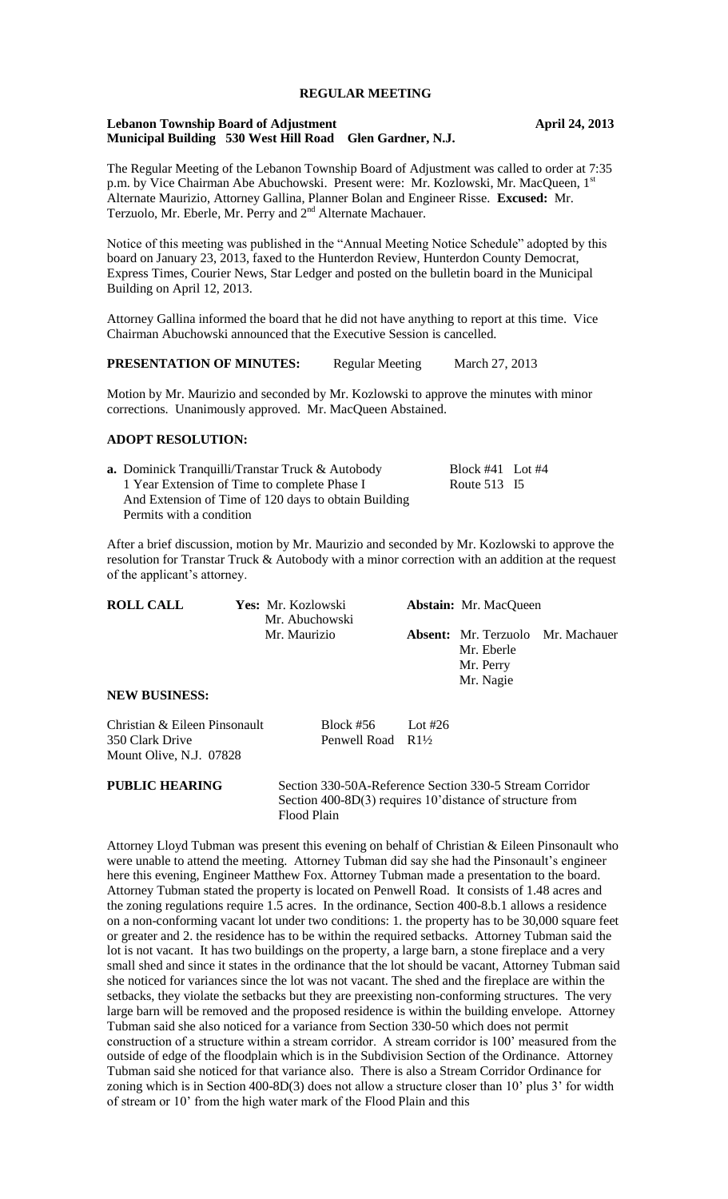# **REGULAR MEETING**

#### **Lebanon Township Board of Adjustment April 24, 2013 Municipal Building 530 West Hill Road Glen Gardner, N.J.**

The Regular Meeting of the Lebanon Township Board of Adjustment was called to order at 7:35 p.m. by Vice Chairman Abe Abuchowski. Present were: Mr. Kozlowski, Mr. MacQueen, 1<sup>s</sup> Alternate Maurizio, Attorney Gallina, Planner Bolan and Engineer Risse. **Excused:** Mr. Terzuolo, Mr. Eberle, Mr. Perry and 2<sup>nd</sup> Alternate Machauer.

Notice of this meeting was published in the "Annual Meeting Notice Schedule" adopted by this board on January 23, 2013, faxed to the Hunterdon Review, Hunterdon County Democrat, Express Times, Courier News, Star Ledger and posted on the bulletin board in the Municipal Building on April 12, 2013.

Attorney Gallina informed the board that he did not have anything to report at this time. Vice Chairman Abuchowski announced that the Executive Session is cancelled.

|  | <b>PRESENTATION OF MINUTES:</b> | <b>Regular Meeting</b> | March 27, 2013 |
|--|---------------------------------|------------------------|----------------|
|--|---------------------------------|------------------------|----------------|

Motion by Mr. Maurizio and seconded by Mr. Kozlowski to approve the minutes with minor corrections. Unanimously approved. Mr. MacQueen Abstained.

### **ADOPT RESOLUTION:**

| <b>a.</b> Dominick Tranquilli/Transtar Truck & Autobody | Block #41 Lot #4 |  |
|---------------------------------------------------------|------------------|--|
| 1 Year Extension of Time to complete Phase I            | Route 513 I5     |  |
| And Extension of Time of 120 days to obtain Building    |                  |  |
| Permits with a condition                                |                  |  |
|                                                         |                  |  |

After a brief discussion, motion by Mr. Maurizio and seconded by Mr. Kozlowski to approve the resolution for Transtar Truck & Autobody with a minor correction with an addition at the request of the applicant's attorney.

| <b>ROLL CALL</b>              | Yes: Mr. Kozlowski<br>Mr. Abuchowski |                              |         | <b>Abstain:</b> Mr. MacQueen         |                                          |
|-------------------------------|--------------------------------------|------------------------------|---------|--------------------------------------|------------------------------------------|
| <b>NEW BUSINESS:</b>          |                                      | Mr. Maurizio                 |         | Mr. Eberle<br>Mr. Perry<br>Mr. Nagie | <b>Absent:</b> Mr. Terzuolo Mr. Machauer |
|                               |                                      |                              |         |                                      |                                          |
| Christian & Eileen Pinsonault |                                      | Block $#56$                  | Lot #26 |                                      |                                          |
| 350 Clark Drive               |                                      | Penwell Road $R1\frac{1}{2}$ |         |                                      |                                          |
| Mount Olive, N.J. 07828       |                                      |                              |         |                                      |                                          |

**PUBLIC HEARING** Section 330-50A-Reference Section 330-5 Stream Corridor Section 400-8D(3) requires 10'distance of structure from Flood Plain

Attorney Lloyd Tubman was present this evening on behalf of Christian & Eileen Pinsonault who were unable to attend the meeting. Attorney Tubman did say she had the Pinsonault's engineer here this evening, Engineer Matthew Fox. Attorney Tubman made a presentation to the board. Attorney Tubman stated the property is located on Penwell Road. It consists of 1.48 acres and the zoning regulations require 1.5 acres. In the ordinance, Section 400-8.b.1 allows a residence on a non-conforming vacant lot under two conditions: 1. the property has to be 30,000 square feet or greater and 2. the residence has to be within the required setbacks. Attorney Tubman said the lot is not vacant. It has two buildings on the property, a large barn, a stone fireplace and a very small shed and since it states in the ordinance that the lot should be vacant, Attorney Tubman said she noticed for variances since the lot was not vacant. The shed and the fireplace are within the setbacks, they violate the setbacks but they are preexisting non-conforming structures. The very large barn will be removed and the proposed residence is within the building envelope. Attorney Tubman said she also noticed for a variance from Section 330-50 which does not permit construction of a structure within a stream corridor. A stream corridor is 100' measured from the outside of edge of the floodplain which is in the Subdivision Section of the Ordinance. Attorney Tubman said she noticed for that variance also. There is also a Stream Corridor Ordinance for zoning which is in Section 400-8D(3) does not allow a structure closer than 10' plus 3' for width of stream or 10' from the high water mark of the Flood Plain and this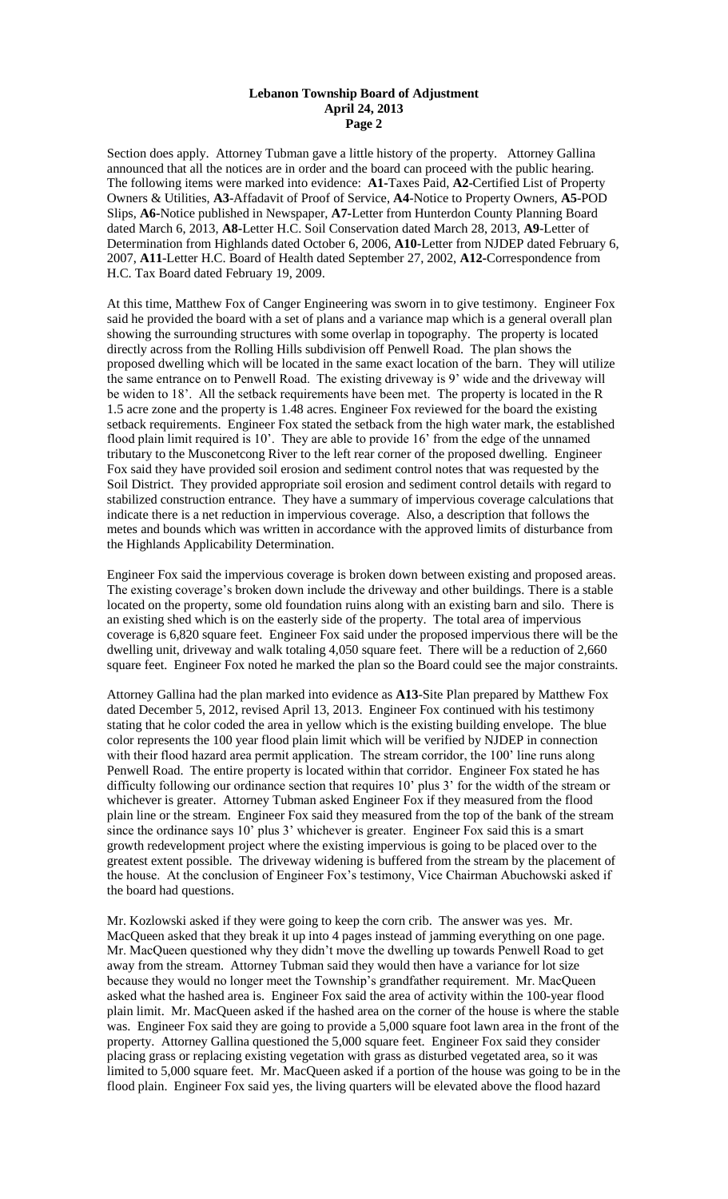Section does apply. Attorney Tubman gave a little history of the property. Attorney Gallina announced that all the notices are in order and the board can proceed with the public hearing. The following items were marked into evidence: **A1-**Taxes Paid, **A2**-Certified List of Property Owners & Utilities, **A3**-Affadavit of Proof of Service, **A4**-Notice to Property Owners, **A5**-POD Slips, **A6-**Notice published in Newspaper, **A7-**Letter from Hunterdon County Planning Board dated March 6, 2013, **A8-**Letter H.C. Soil Conservation dated March 28, 2013, **A9**-Letter of Determination from Highlands dated October 6, 2006, **A10-**Letter from NJDEP dated February 6, 2007, **A11**-Letter H.C. Board of Health dated September 27, 2002, **A12-**Correspondence from H.C. Tax Board dated February 19, 2009.

At this time, Matthew Fox of Canger Engineering was sworn in to give testimony. Engineer Fox said he provided the board with a set of plans and a variance map which is a general overall plan showing the surrounding structures with some overlap in topography. The property is located directly across from the Rolling Hills subdivision off Penwell Road. The plan shows the proposed dwelling which will be located in the same exact location of the barn. They will utilize the same entrance on to Penwell Road. The existing driveway is 9' wide and the driveway will be widen to 18'. All the setback requirements have been met. The property is located in the R 1.5 acre zone and the property is 1.48 acres. Engineer Fox reviewed for the board the existing setback requirements. Engineer Fox stated the setback from the high water mark, the established flood plain limit required is 10'. They are able to provide 16' from the edge of the unnamed tributary to the Musconetcong River to the left rear corner of the proposed dwelling. Engineer Fox said they have provided soil erosion and sediment control notes that was requested by the Soil District. They provided appropriate soil erosion and sediment control details with regard to stabilized construction entrance. They have a summary of impervious coverage calculations that indicate there is a net reduction in impervious coverage. Also, a description that follows the metes and bounds which was written in accordance with the approved limits of disturbance from the Highlands Applicability Determination.

Engineer Fox said the impervious coverage is broken down between existing and proposed areas. The existing coverage's broken down include the driveway and other buildings. There is a stable located on the property, some old foundation ruins along with an existing barn and silo. There is an existing shed which is on the easterly side of the property. The total area of impervious coverage is 6,820 square feet. Engineer Fox said under the proposed impervious there will be the dwelling unit, driveway and walk totaling 4,050 square feet. There will be a reduction of 2,660 square feet. Engineer Fox noted he marked the plan so the Board could see the major constraints.

Attorney Gallina had the plan marked into evidence as **A13**-Site Plan prepared by Matthew Fox dated December 5, 2012, revised April 13, 2013. Engineer Fox continued with his testimony stating that he color coded the area in yellow which is the existing building envelope. The blue color represents the 100 year flood plain limit which will be verified by NJDEP in connection with their flood hazard area permit application. The stream corridor, the 100' line runs along Penwell Road. The entire property is located within that corridor. Engineer Fox stated he has difficulty following our ordinance section that requires 10' plus 3' for the width of the stream or whichever is greater. Attorney Tubman asked Engineer Fox if they measured from the flood plain line or the stream. Engineer Fox said they measured from the top of the bank of the stream since the ordinance says 10' plus 3' whichever is greater. Engineer Fox said this is a smart growth redevelopment project where the existing impervious is going to be placed over to the greatest extent possible. The driveway widening is buffered from the stream by the placement of the house. At the conclusion of Engineer Fox's testimony, Vice Chairman Abuchowski asked if the board had questions.

Mr. Kozlowski asked if they were going to keep the corn crib. The answer was yes. Mr. MacQueen asked that they break it up into 4 pages instead of jamming everything on one page. Mr. MacQueen questioned why they didn't move the dwelling up towards Penwell Road to get away from the stream. Attorney Tubman said they would then have a variance for lot size because they would no longer meet the Township's grandfather requirement. Mr. MacQueen asked what the hashed area is. Engineer Fox said the area of activity within the 100-year flood plain limit. Mr. MacQueen asked if the hashed area on the corner of the house is where the stable was. Engineer Fox said they are going to provide a 5,000 square foot lawn area in the front of the property. Attorney Gallina questioned the 5,000 square feet. Engineer Fox said they consider placing grass or replacing existing vegetation with grass as disturbed vegetated area, so it was limited to 5,000 square feet. Mr. MacQueen asked if a portion of the house was going to be in the flood plain. Engineer Fox said yes, the living quarters will be elevated above the flood hazard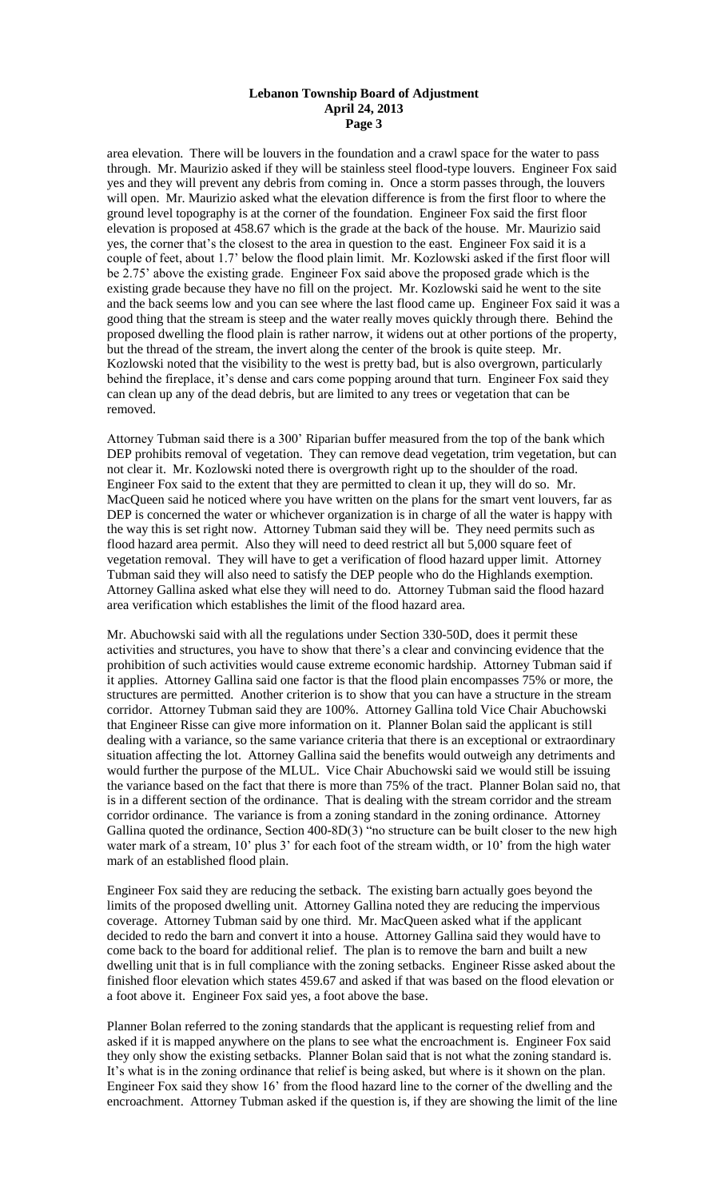area elevation. There will be louvers in the foundation and a crawl space for the water to pass through. Mr. Maurizio asked if they will be stainless steel flood-type louvers. Engineer Fox said yes and they will prevent any debris from coming in. Once a storm passes through, the louvers will open. Mr. Maurizio asked what the elevation difference is from the first floor to where the ground level topography is at the corner of the foundation. Engineer Fox said the first floor elevation is proposed at 458.67 which is the grade at the back of the house. Mr. Maurizio said yes, the corner that's the closest to the area in question to the east. Engineer Fox said it is a couple of feet, about 1.7' below the flood plain limit. Mr. Kozlowski asked if the first floor will be 2.75' above the existing grade. Engineer Fox said above the proposed grade which is the existing grade because they have no fill on the project. Mr. Kozlowski said he went to the site and the back seems low and you can see where the last flood came up. Engineer Fox said it was a good thing that the stream is steep and the water really moves quickly through there. Behind the proposed dwelling the flood plain is rather narrow, it widens out at other portions of the property, but the thread of the stream, the invert along the center of the brook is quite steep. Mr. Kozlowski noted that the visibility to the west is pretty bad, but is also overgrown, particularly behind the fireplace, it's dense and cars come popping around that turn. Engineer Fox said they can clean up any of the dead debris, but are limited to any trees or vegetation that can be removed.

Attorney Tubman said there is a 300' Riparian buffer measured from the top of the bank which DEP prohibits removal of vegetation. They can remove dead vegetation, trim vegetation, but can not clear it. Mr. Kozlowski noted there is overgrowth right up to the shoulder of the road. Engineer Fox said to the extent that they are permitted to clean it up, they will do so. Mr. MacQueen said he noticed where you have written on the plans for the smart vent louvers, far as DEP is concerned the water or whichever organization is in charge of all the water is happy with the way this is set right now. Attorney Tubman said they will be. They need permits such as flood hazard area permit. Also they will need to deed restrict all but 5,000 square feet of vegetation removal. They will have to get a verification of flood hazard upper limit. Attorney Tubman said they will also need to satisfy the DEP people who do the Highlands exemption. Attorney Gallina asked what else they will need to do. Attorney Tubman said the flood hazard area verification which establishes the limit of the flood hazard area.

Mr. Abuchowski said with all the regulations under Section 330-50D, does it permit these activities and structures, you have to show that there's a clear and convincing evidence that the prohibition of such activities would cause extreme economic hardship. Attorney Tubman said if it applies. Attorney Gallina said one factor is that the flood plain encompasses 75% or more, the structures are permitted. Another criterion is to show that you can have a structure in the stream corridor. Attorney Tubman said they are 100%. Attorney Gallina told Vice Chair Abuchowski that Engineer Risse can give more information on it. Planner Bolan said the applicant is still dealing with a variance, so the same variance criteria that there is an exceptional or extraordinary situation affecting the lot. Attorney Gallina said the benefits would outweigh any detriments and would further the purpose of the MLUL. Vice Chair Abuchowski said we would still be issuing the variance based on the fact that there is more than 75% of the tract. Planner Bolan said no, that is in a different section of the ordinance. That is dealing with the stream corridor and the stream corridor ordinance. The variance is from a zoning standard in the zoning ordinance. Attorney Gallina quoted the ordinance, Section 400-8D(3) "no structure can be built closer to the new high water mark of a stream, 10' plus 3' for each foot of the stream width, or 10' from the high water mark of an established flood plain.

Engineer Fox said they are reducing the setback. The existing barn actually goes beyond the limits of the proposed dwelling unit. Attorney Gallina noted they are reducing the impervious coverage. Attorney Tubman said by one third. Mr. MacQueen asked what if the applicant decided to redo the barn and convert it into a house. Attorney Gallina said they would have to come back to the board for additional relief. The plan is to remove the barn and built a new dwelling unit that is in full compliance with the zoning setbacks. Engineer Risse asked about the finished floor elevation which states 459.67 and asked if that was based on the flood elevation or a foot above it. Engineer Fox said yes, a foot above the base.

Planner Bolan referred to the zoning standards that the applicant is requesting relief from and asked if it is mapped anywhere on the plans to see what the encroachment is. Engineer Fox said they only show the existing setbacks. Planner Bolan said that is not what the zoning standard is. It's what is in the zoning ordinance that relief is being asked, but where is it shown on the plan. Engineer Fox said they show 16' from the flood hazard line to the corner of the dwelling and the encroachment. Attorney Tubman asked if the question is, if they are showing the limit of the line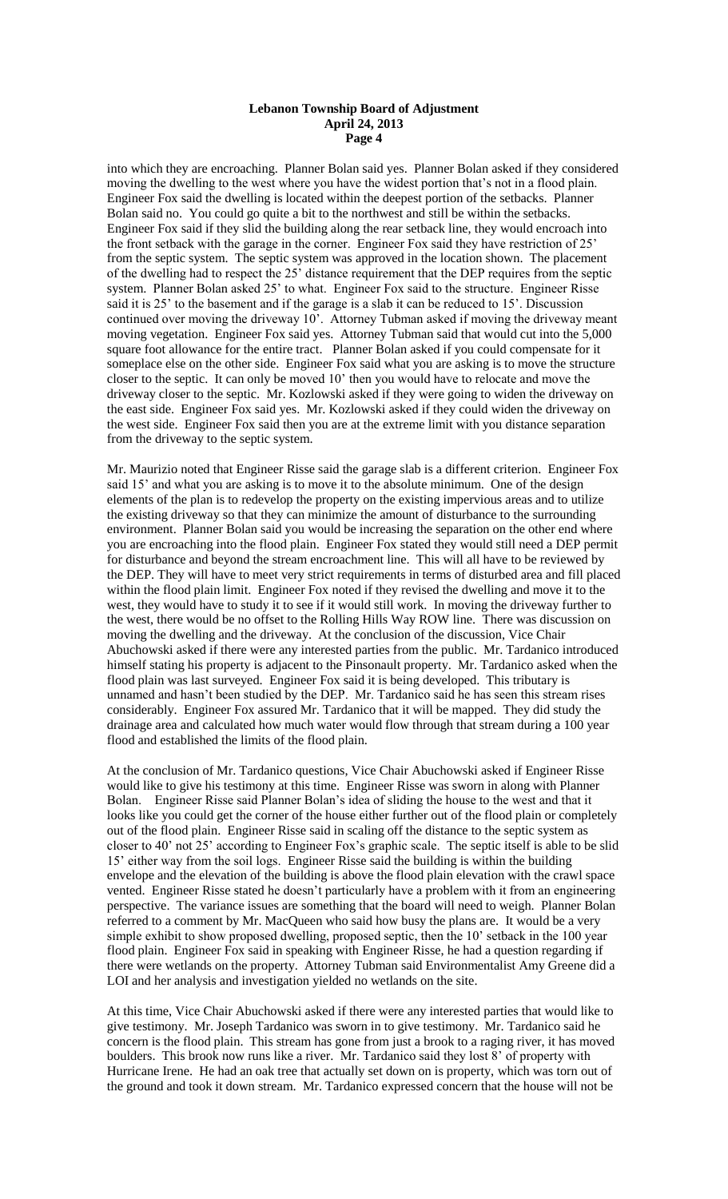into which they are encroaching. Planner Bolan said yes. Planner Bolan asked if they considered moving the dwelling to the west where you have the widest portion that's not in a flood plain. Engineer Fox said the dwelling is located within the deepest portion of the setbacks. Planner Bolan said no. You could go quite a bit to the northwest and still be within the setbacks. Engineer Fox said if they slid the building along the rear setback line, they would encroach into the front setback with the garage in the corner. Engineer Fox said they have restriction of 25' from the septic system. The septic system was approved in the location shown. The placement of the dwelling had to respect the 25' distance requirement that the DEP requires from the septic system. Planner Bolan asked 25' to what. Engineer Fox said to the structure. Engineer Risse said it is 25' to the basement and if the garage is a slab it can be reduced to 15'. Discussion continued over moving the driveway 10'. Attorney Tubman asked if moving the driveway meant moving vegetation. Engineer Fox said yes. Attorney Tubman said that would cut into the 5,000 square foot allowance for the entire tract. Planner Bolan asked if you could compensate for it someplace else on the other side. Engineer Fox said what you are asking is to move the structure closer to the septic. It can only be moved 10' then you would have to relocate and move the driveway closer to the septic. Mr. Kozlowski asked if they were going to widen the driveway on the east side. Engineer Fox said yes. Mr. Kozlowski asked if they could widen the driveway on the west side. Engineer Fox said then you are at the extreme limit with you distance separation from the driveway to the septic system.

Mr. Maurizio noted that Engineer Risse said the garage slab is a different criterion. Engineer Fox said 15' and what you are asking is to move it to the absolute minimum. One of the design elements of the plan is to redevelop the property on the existing impervious areas and to utilize the existing driveway so that they can minimize the amount of disturbance to the surrounding environment. Planner Bolan said you would be increasing the separation on the other end where you are encroaching into the flood plain. Engineer Fox stated they would still need a DEP permit for disturbance and beyond the stream encroachment line. This will all have to be reviewed by the DEP. They will have to meet very strict requirements in terms of disturbed area and fill placed within the flood plain limit. Engineer Fox noted if they revised the dwelling and move it to the west, they would have to study it to see if it would still work. In moving the driveway further to the west, there would be no offset to the Rolling Hills Way ROW line. There was discussion on moving the dwelling and the driveway. At the conclusion of the discussion, Vice Chair Abuchowski asked if there were any interested parties from the public. Mr. Tardanico introduced himself stating his property is adjacent to the Pinsonault property. Mr. Tardanico asked when the flood plain was last surveyed. Engineer Fox said it is being developed. This tributary is unnamed and hasn't been studied by the DEP. Mr. Tardanico said he has seen this stream rises considerably. Engineer Fox assured Mr. Tardanico that it will be mapped. They did study the drainage area and calculated how much water would flow through that stream during a 100 year flood and established the limits of the flood plain.

At the conclusion of Mr. Tardanico questions, Vice Chair Abuchowski asked if Engineer Risse would like to give his testimony at this time. Engineer Risse was sworn in along with Planner Bolan. Engineer Risse said Planner Bolan's idea of sliding the house to the west and that it looks like you could get the corner of the house either further out of the flood plain or completely out of the flood plain. Engineer Risse said in scaling off the distance to the septic system as closer to 40' not 25' according to Engineer Fox's graphic scale. The septic itself is able to be slid 15' either way from the soil logs. Engineer Risse said the building is within the building envelope and the elevation of the building is above the flood plain elevation with the crawl space vented. Engineer Risse stated he doesn't particularly have a problem with it from an engineering perspective. The variance issues are something that the board will need to weigh. Planner Bolan referred to a comment by Mr. MacQueen who said how busy the plans are. It would be a very simple exhibit to show proposed dwelling, proposed septic, then the 10' setback in the 100 year flood plain. Engineer Fox said in speaking with Engineer Risse, he had a question regarding if there were wetlands on the property. Attorney Tubman said Environmentalist Amy Greene did a LOI and her analysis and investigation yielded no wetlands on the site.

At this time, Vice Chair Abuchowski asked if there were any interested parties that would like to give testimony. Mr. Joseph Tardanico was sworn in to give testimony. Mr. Tardanico said he concern is the flood plain. This stream has gone from just a brook to a raging river, it has moved boulders. This brook now runs like a river. Mr. Tardanico said they lost 8' of property with Hurricane Irene. He had an oak tree that actually set down on is property, which was torn out of the ground and took it down stream. Mr. Tardanico expressed concern that the house will not be